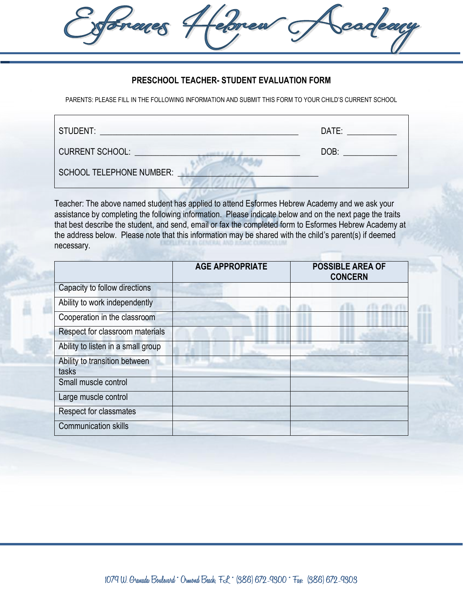Corea adeary Fraces

## **PRESCHOOL TEACHER- STUDENT EVALUATION FORM**

PARENTS: PLEASE FILL IN THE FOLLOWING INFORMATION AND SUBMIT THIS FORM TO YOUR CHILD'S CURRENT SCHOOL

| STUDENT:                        | DATE: |
|---------------------------------|-------|
| <b>CURRENT SCHOOL:</b>          | DOB:  |
| <b>SCHOOL TELEPHONE NUMBER:</b> |       |

Teacher: The above named student has applied to attend Esformes Hebrew Academy and we ask your assistance by completing the following information. Please indicate below and on the next page the traits that best describe the student, and send, email or fax the completed form to Esformes Hebrew Academy at the address below. Please note that this information may be shared with the child's parent(s) if deemed necessary.

|                                    | <b>AGE APPROPRIATE</b> | <b>POSSIBLE AREA OF</b><br><b>CONCERN</b> |  |
|------------------------------------|------------------------|-------------------------------------------|--|
| Capacity to follow directions      |                        |                                           |  |
| Ability to work independently      |                        |                                           |  |
| Cooperation in the classroom       |                        |                                           |  |
| Respect for classroom materials    |                        |                                           |  |
| Ability to listen in a small group |                        |                                           |  |
| Ability to transition between      |                        |                                           |  |
| tasks                              |                        |                                           |  |
| Small muscle control               |                        |                                           |  |
| Large muscle control               |                        |                                           |  |
| <b>Respect for classmates</b>      |                        |                                           |  |
| <b>Communication skills</b>        |                        |                                           |  |